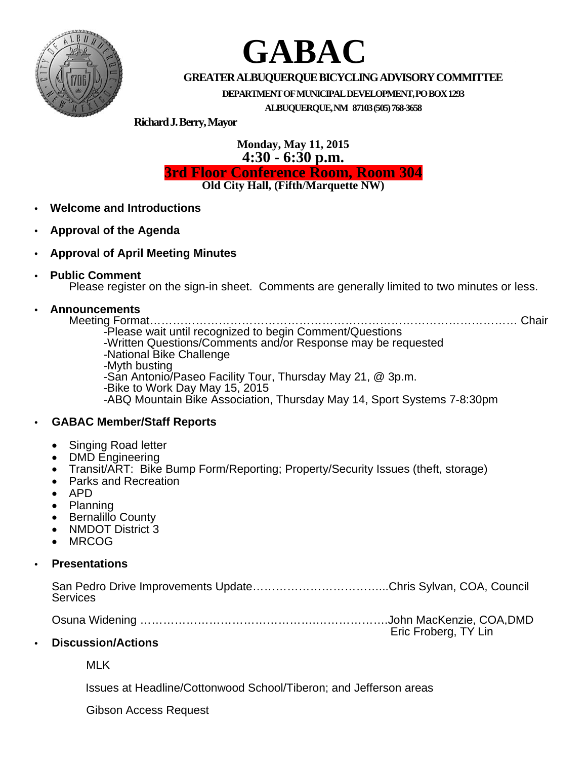

# **GABAC**

# **GREATERALBUQUERQUEBICYCLINGADVISORYCOMMITTEE**

**DEPARTMENTOFMUNICIPALDEVELOPMENT,POBOX1293**

**ALBUQUERQUE,NM 87103(505)768-3658**

**RichardJ.Berry,Mayor**

**Monday, May 11, 2015 4:30 - 6:30 p.m.**

**3rd Floor Conference Room, Room 304**

**Old City Hall, (Fifth/Marquette NW)**

- **• Welcome and Introductions**
- **• Approval of the Agenda**
- **• Approval of April Meeting Minutes**
- **• Public Comment**

Please register on the sign-in sheet. Comments are generally limited to two minutes or less.

### **• Announcements**

Meeting Format…………………………………………………………………………………… Chair -Please wait until recognized to begin Comment/Questions -Written Questions/Comments and/or Response may be requested -National Bike Challenge -Myth busting -San Antonio/Paseo Facility Tour, Thursday May 21, @ 3p.m. -Bike to Work Day May 15, <sup>2015</sup> -ABQ Mountain Bike Association, Thursday May 14, Sport Systems 7-8:30pm **• GABAC Member/Staff Reports**

# • Singing Road letter

- DMD Engineering
- Transit/ART: Bike Bump Form/Reporting; Property/Security Issues (theft, storage)
- Parks and Recreation
- APD
- Planning
- **Bernalillo County**
- NMDOT District 3
- MRCOG

#### **• Presentations**

| Services |  |  |
|----------|--|--|

| Eric Froberg, TY Lin |
|----------------------|

#### **• Discussion/Actions**

MLK

Issues at Headline/Cottonwood School/Tiberon; and Jefferson areas

Gibson Access Request